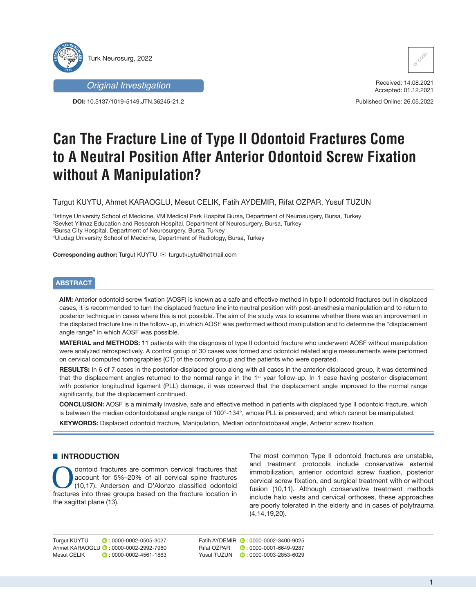



**DOI:** 10.5137/1019-5149.JTN.36245-21.2



Received: 14.08.2021 Accepted: 01.12.2021

Published Online: 26.05.2022

# **Can The Fracture Line of Type II Odontoid Fractures Come to A Neutral Position After Anterior Odontoid Screw Fixation without A Manipulation?**

Turgut KUYTU, Ahmet KARAOGLU, Mesut CELIK, Fatih AYDEMIR, Rifat OZPAR, Yusuf TUZUN

 Istinye University School of Medicine, VM Medical Park Hospital Bursa, Department of Neurosurgery, Bursa, Turkey Sevket Yilmaz Education and Research Hospital, Department of Neurosurgery, Bursa, Turkey Bursa City Hospital, Department of Neurosurgery, Bursa, Turkey Uludag University School of Medicine, Department of Radiology, Bursa, Turkey

**Corresponding author:** Turgut KUYTU  $\mathbb{E}$  turgutkuytu@hotmail.com

# **ABSTRACT**

**AIM:** Anterior odontoid screw fixation (AOSF) is known as a safe and effective method in type II odontoid fractures but in displaced cases, it is recommended to turn the displaced fracture line into neutral position with post-anesthesia manipulation and to return to posterior technique in cases where this is not possible. The aim of the study was to examine whether there was an improvement in the displaced fracture line in the follow-up, in which AOSF was performed without manipulation and to determine the "displacement angle range" in which AOSF was possible.

**MATERIAL and METHODS:** 11 patients with the diagnosis of type II odontoid fracture who underwent AOSF without manipulation were analyzed retrospectively. A control group of 30 cases was formed and odontoid related angle measurements were performed on cervical computed tomographies (CT) of the control group and the patients who were operated.

**RESULTS:** In 6 of 7 cases in the posterior-displaced group along with all cases in the anterior-displaced group, it was determined that the displacement angles returned to the normal range in the  $1<sup>st</sup>$  year follow-up. In 1 case having posterior displacement with posterior longitudinal ligament (PLL) damage, it was observed that the displacement angle improved to the normal range significantly, but the displacement continued.

**CONCLUSION:** AOSF is a minimally invasive, safe and effective method in patients with displaced type II odontoid fracture, which is between the median odontoidobasal angle range of 100°-134°, whose PLL is preserved, and which cannot be manipulated.

**KEYWORDS:** Displaced odontoid fracture, Manipulation, Median odontoidobasal angle, Anterior screw fixation

# $\blacksquare$  **INTRODUCTION**

Contoid fractures are common cervical fractures that<br>account for 5%–20% of all cervical spine fractures<br>(10,17). Anderson and D'Alonzo classified odontoid<br>fractures into three groups based on the fracture location in account for 5%–20% of all cervical spine fractures (10,17). Anderson and D'Alonzo classified odontoid fractures into three groups based on the fracture location in the sagittal plane (13).

The most common Type II odontoid fractures are unstable, and treatment protocols include conservative external immobilization, anterior odontoid screw fixation, posterior cervical screw fixation, and surgical treatment with or without fusion (10,11). Although conservative treatment methods include halo vests and cervical orthoses, these approaches are poorly tolerated in the elderly and in cases of polytrauma (4,14,19,20).

Turgut KUYTU : 0000-0002-0505-3027 Ahmet KARAOGLU : 0000-0002-2992-7980 Mesut CELIK **D**: 0000-0002-4561-1863

Fatih AYDEMIR **D**: 0000-0002-3400-9025 Rifat OZPAR **:** 0000-0001-6649-9287 Yusuf TUZUN **:** 0000-0003-2853-6029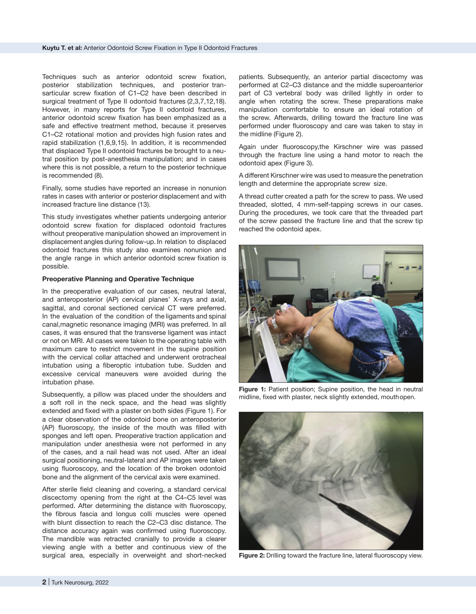Techniques such as anterior odontoid screw fixation, posterior stabilization techniques, and posterior transarticular screw fixation of C1–C2 have been described in surgical treatment of Type II odontoid fractures (2,3,7,12,18). However, in many reports for Type II odontoid fractures, anterior odontoid screw fixation has been emphasized as a safe and effective treatment method, because it preserves C1–C2 rotational motion and provides high fusion rates and rapid stabilization (1,6,9,15). In addition, it is recommended that displaced Type II odontoid fractures be brought to a neutral position by post-anesthesia manipulation; and in cases where this is not possible, a return to the posterior technique is recommended (8).

Finally, some studies have reported an increase in nonunion rates in cases with anterior or posterior displacement and with increased fracture line distance (13).

This study investigates whether patients undergoing anterior odontoid screw fixation for displaced odontoid fractures without preoperative manipulation showed an improvement in displacement angles during follow-up. In relation to displaced odontoid fractures this study also examines nonunion and the angle range in which anterior odontoid screw fixation is possible.

#### **Preoperative Planning and Operative Technique**

In the preoperative evaluation of our cases, neutral lateral, and anteroposterior (AP) cervical planes' X-rays and axial, sagittal, and coronal sectioned cervical CT were preferred. In the evaluation of the condition of the ligaments and spinal canal,magnetic resonance imaging (MRI) was preferred. In all cases, it was ensured that the transverse ligament was intact or not on MRI. All cases were taken to the operating table with maximum care to restrict movement in the supine position with the cervical collar attached and underwent orotracheal intubation using a fiberoptic intubation tube. Sudden and excessive cervical maneuvers were avoided during the intubation phase.

Subsequently, a pillow was placed under the shoulders and a soft roll in the neck space, and the head was slightly extended and fixed with a plaster on both sides (Figure 1). For a clear observation of the odontoid bone on anteroposterior (AP) fluoroscopy, the inside of the mouth was filled with sponges and left open. Preoperative traction application and manipulation under anesthesia were not performed in any of the cases, and a nail head was not used. After an ideal surgical positioning, neutral-lateral and AP images were taken using fluoroscopy, and the location of the broken odontoid bone and the alignment of the cervical axis were examined.

After sterile field cleaning and covering, a standard cervical discectomy opening from the right at the C4–C5 level was performed. After determining the distance with fluoroscopy, the fibrous fascia and longus colli muscles were opened with blunt dissection to reach the C2–C3 disc distance. The distance accuracy again was confirmed using fluoroscopy. The mandible was retracted cranially to provide a clearer viewing angle with a better and continuous view of the surgical area, especially in overweight and short-necked patients. Subsequently, an anterior partial discectomy was performed at C2–C3 distance and the middle superoanterior part of C3 vertebral body was drilled lightly in order to angle when rotating the screw. These preparations make manipulation comfortable to ensure an ideal rotation of the screw. Afterwards, drilling toward the fracture line was performed under fluoroscopy and care was taken to stay in the midline (Figure 2).

Again under fluoroscopy,the Kirschner wire was passed through the fracture line using a hand motor to reach the odontoid apex (Figure 3).

A different Kirschner wire was used to measure the penetration length and determine the appropriate screw size.

A thread cutter created a path for the screw to pass. We used threaded, slotted, 4 mm-self-tapping screws in our cases. During the procedures, we took care that the threaded part of the screw passed the fracture line and that the screw tip reached the odontoid apex.



Figure 1: Patient position; Supine position, the head in neutral midline, fixed with plaster, neck slightly extended, mouth open.



**Figure 2:** Drilling toward the fracture line, lateral fluoroscopy view.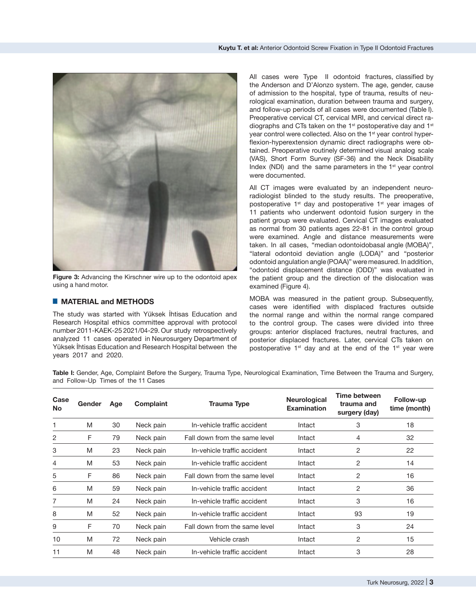

**Figure 3:** Advancing the Kirschner wire up to the odontoid apex using a hand motor.

# █ **MATERIAL and METHODS**

The study was started with Yüksek İhtisas Education and Research Hospital ethics committee approval with protocol number 2011-KAEK-25 2021/04-29. Our study retrospectively analyzed 11 cases operated in Neurosurgery Department of Yüksek İhtisas Education and Research Hospital between the years 2017 and 2020.

All cases were Type II odontoid fractures, classified by the Anderson and D'Alonzo system. The age, gender, cause of admission to the hospital, type of trauma, results of neurological examination, duration between trauma and surgery, and follow-up periods of all cases were documented (Table I). Preoperative cervical CT, cervical MRI, and cervical direct radiographs and CTs taken on the 1<sup>st</sup> postoperative day and 1<sup>st</sup> year control were collected. Also on the 1<sup>st</sup> year control hyperflexion-hyperextension dynamic direct radiographs were obtained. Preoperative routinely determined visual analog scale (VAS), Short Form Survey (SF-36) and the Neck Disability Index (NDI) and the same parameters in the  $1<sup>st</sup>$  year control were documented.

All CT images were evaluated by an independent neuroradiologist blinded to the study results. The preoperative, postoperative 1<sup>st</sup> day and postoperative 1<sup>st</sup> year images of 11 patients who underwent odontoid fusion surgery in the patient group were evaluated. Cervical CT images evaluated as normal from 30 patients ages 22-81 in the control group were examined. Angle and distance measurements were taken. In all cases, "median odontoidobasal angle (MOBA)", "lateral odontoid deviation angle (LODA)" and "posterior odontoid angulation angle (POAA)" were measured. In addition, "odontoid displacement distance (ODD)" was evaluated in the patient group and the direction of the dislocation was examined (Figure 4).

MOBA was measured in the patient group. Subsequently, cases were identified with displaced fractures outside the normal range and within the normal range compared to the control group. The cases were divided into three groups: anterior displaced fractures, neutral fractures, and posterior displaced fractures. Later, cervical CTs taken on postoperative  $1<sup>st</sup>$  day and at the end of the  $1<sup>st</sup>$  year were

**Table I:** Gender, Age, Complaint Before the Surgery, Trauma Type, Neurological Examination, Time Between the Trauma and Surgery, and Follow-Up Times of the 11 Cases

| Case<br><b>No</b> | Gender | Age | <b>Complaint</b> | Trauma Type                   | <b>Neurological</b><br><b>Examination</b> | Time between<br>trauma and<br>surgery (day) | Follow-up<br>time (month) |
|-------------------|--------|-----|------------------|-------------------------------|-------------------------------------------|---------------------------------------------|---------------------------|
|                   | M      | 30  | Neck pain        | In-vehicle traffic accident   | Intact                                    | 3                                           | 18                        |
| 2                 | F      | 79  | Neck pain        | Fall down from the same level | Intact                                    | 4                                           | 32                        |
| 3                 | M      | 23  | Neck pain        | In-vehicle traffic accident   | Intact                                    | 2                                           | 22                        |
| 4                 | M      | 53  | Neck pain        | In-vehicle traffic accident   | Intact                                    | 2                                           | 14                        |
| 5                 | F      | 86  | Neck pain        | Fall down from the same level | Intact                                    | 2                                           | 16                        |
| 6                 | M      | 59  | Neck pain        | In-vehicle traffic accident   | Intact                                    | 2                                           | 36                        |
| 7                 | M      | 24  | Neck pain        | In-vehicle traffic accident   | Intact                                    | 3                                           | 16                        |
| 8                 | M      | 52  | Neck pain        | In-vehicle traffic accident   | Intact                                    | 93                                          | 19                        |
| 9                 | F      | 70  | Neck pain        | Fall down from the same level | Intact                                    | 3                                           | 24                        |
| 10                | M      | 72  | Neck pain        | Vehicle crash                 | Intact                                    | 2                                           | 15                        |
| 11                | M      | 48  | Neck pain        | In-vehicle traffic accident   | Intact                                    | 3                                           | 28                        |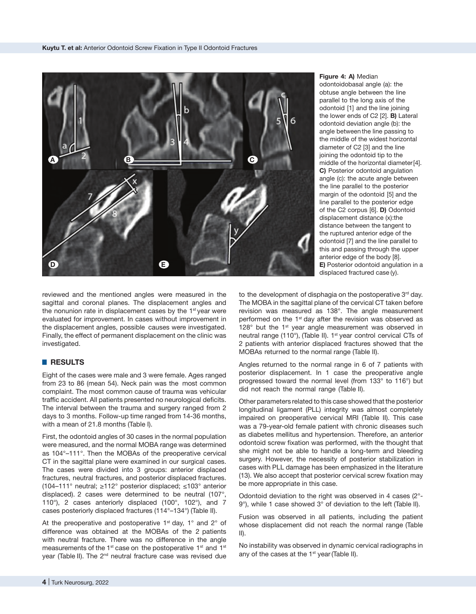

**Figure 4: A)** Median

odontoidobasal angle (a): the obtuse angle between the line parallel to the long axis of the odontoid [1] and the line joining the lower ends of C2 [2]. **B)** Lateral odontoid deviation angle (b): the angle between the line passing to the middle of the widest horizontal diameter of C2 [3] and the line joining the odontoid tip to the middle of the horizontal diameter [4]. **C)** Posterior odontoid angulation angle (c): the acute angle between the line parallel to the posterior margin of the odontoid [5] and the line parallel to the posterior edge of the C2 corpus [6]. **D)** Odontoid displacement distance (x):the distance between the tangent to the ruptured anterior edge of the odontoid [7] and the line parallel to this and passing through the upper anterior edge of the body [8]. **E)** Posterior odontoid angulation in a displaced fractured case (y).

reviewed and the mentioned angles were measured in the sagittal and coronal planes. The displacement angles and the nonunion rate in displacement cases by the  $1<sup>st</sup>$  vear were evaluated for improvement. In cases without improvement in the displacement angles, possible causes were investigated. Finally, the effect of permanent displacement on the clinic was investigated.

#### █ **RESULTS**

Eight of the cases were male and 3 were female. Ages ranged from 23 to 86 (mean 54). Neck pain was the most common complaint. The most common cause of trauma was vehicular traffic accident. All patients presented no neurological deficits. The interval between the trauma and surgery ranged from 2 days to 3 months. Follow-up time ranged from 14-36 months, with a mean of 21.8 months (Table I).

First, the odontoid angles of 30 cases in the normal population were measured, and the normal MOBA range was determined as 104°–111°. Then the MOBAs of the preoperative cervical CT in the sagittal plane were examined in our surgical cases. The cases were divided into 3 groups: anterior displaced fractures, neutral fractures, and posterior displaced fractures. (104–111° neutral; ≥112° posterior displaced; ≤103° anterior displaced). 2 cases were determined to be neutral (107°, 110°), 2 cases anteriorly displaced (100°, 102°), and 7 cases posteriorly displaced fractures (114°–134°) (Table II).

At the preoperative and postoperative  $1<sup>st</sup>$  day,  $1<sup>o</sup>$  and  $2<sup>o</sup>$  of difference was obtained at the MOBAs of the 2 patients with neutral fracture. There was no difference in the angle measurements of the  $1^{st}$  case on the postoperative  $1^{st}$  and  $1^{st}$ year (Table II). The 2<sup>nd</sup> neutral fracture case was revised due

to the development of disphagia on the postoperative  $3<sup>rd</sup>$  day. The MOBA in the sagittal plane of the cervical CT taken before revision was measured as 138°. The angle measurement performed on the 1<sup>st</sup> day after the revision was observed as 128 $^{\circ}$  but the 1 $^{\text{st}}$  year angle measurement was observed in neutral range (110°), (Table II). 1<sup>st</sup> year control cervical CTs of 2 patients with anterior displaced fractures showed that the MOBAs returned to the normal range (Table II).

Angles returned to the normal range in 6 of 7 patients with posterior displacement. In 1 case the preoperative angle progressed toward the normal level (from 133° to 116°) but did not reach the normal range (Table II).

Other parameters related to this case showed that the posterior longitudinal ligament (PLL) integrity was almost completely impaired on preoperative cervical MRI (Table II). This case was a 79-year-old female patient with chronic diseases such as diabetes mellitus and hypertension. Therefore, an anterior odontoid screw fixation was performed, with the thought that she might not be able to handle a long-term and bleeding surgery. However, the necessity of posterior stabilization in cases with PLL damage has been emphasized in the literature (13). We also accept that posterior cervical screw fixation may be more appropriate in this case.

Odontoid deviation to the right was observed in 4 cases (2°- 9°), while 1 case showed 3° of deviation to the left (Table II).

Fusion was observed in all patients, including the patient whose displacement did not reach the normal range (Table II).

No instability was observed in dynamic cervical radiographs in any of the cases at the 1<sup>st</sup> year (Table II).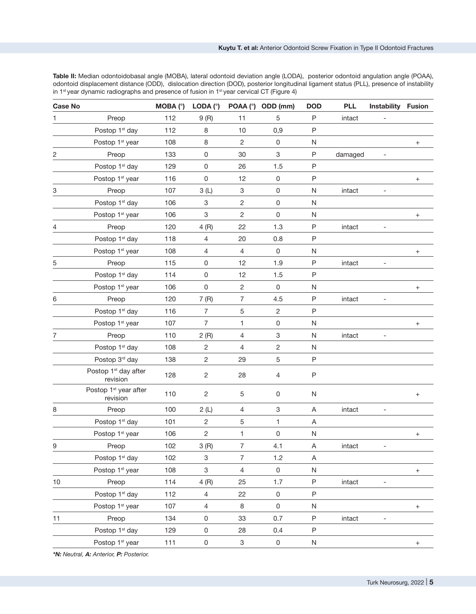**Table II:** Median odontoidobasal angle (MOBA), lateral odontoid deviation angle (LODA), posterior odontoid angulation angle (POAA), odontoid displacement distance (ODD), dislocation direction (DOD), posterior longitudinal ligament status (PLL), presence of instability in 1<sup>st</sup> year dynamic radiographs and presence of fusion in 1<sup>st</sup> year cervical CT (Figure 4)

| <b>Case No</b> |                                               | $MOBA$ ( $°$ ) | LODA $(°)$              |                           | POAA (°) ODD (mm)         | <b>DOD</b>   | <b>PLL</b> | Instability Fusion       |                                  |
|----------------|-----------------------------------------------|----------------|-------------------------|---------------------------|---------------------------|--------------|------------|--------------------------|----------------------------------|
| 1              | Preop                                         | 112            | 9(R)                    | 11                        | 5                         | P            | intact     | $\overline{\phantom{0}}$ |                                  |
|                | Postop 1 <sup>st</sup> day                    | 112            | 8                       | 10                        | 0,9                       | $\mathsf P$  |            |                          |                                  |
|                | Postop 1 <sup>st</sup> year                   | 108            | 8                       | $\overline{c}$            | $\mathsf{O}\xspace$       | N            |            |                          | $\! +$                           |
| 2              | Preop                                         | 133            | 0                       | 30                        | 3                         | P            | damaged    | $\qquad \qquad -$        |                                  |
|                | Postop 1 <sup>st</sup> day                    | 129            | $\mathsf 0$             | 26                        | 1.5                       | $\mathsf{P}$ |            |                          |                                  |
|                | Postop 1 <sup>st</sup> year                   | 116            | 0                       | 12                        | $\mathsf 0$               | $\sf P$      |            |                          | $^{+}$                           |
| 3              | Preop                                         | 107            | 3(L)                    | 3                         | 0                         | N            | intact     |                          |                                  |
|                | Postop 1 <sup>st</sup> day                    | 106            | 3                       | 2                         | 0                         | ${\sf N}$    |            |                          |                                  |
|                | Postop 1 <sup>st</sup> year                   | 106            | 3                       | $\overline{c}$            | $\mathsf 0$               | N            |            |                          | $\! +$                           |
| 4              | Preop                                         | 120            | 4(R)                    | 22                        | 1.3                       | P            | intact     |                          |                                  |
|                | Postop 1 <sup>st</sup> day                    | 118            | 4                       | 20                        | 0.8                       | P            |            |                          |                                  |
|                | Postop 1 <sup>st</sup> year                   | 108            | 4                       | $\overline{4}$            | $\mathsf 0$               | N            |            |                          | $\! +$                           |
| 5              | Preop                                         | 115            | 0                       | 12                        | 1.9                       | P            | intact     |                          |                                  |
|                | Postop 1 <sup>st</sup> day                    | 114            | 0                       | 12                        | 1.5                       | $\mathsf P$  |            |                          |                                  |
|                | Postop 1 <sup>st</sup> year                   | 106            | 0                       | $\overline{c}$            | $\mathsf 0$               | N            |            |                          | $^{+}$                           |
| 6              | Preop                                         | 120            | 7(R)                    | $\overline{7}$            | 4.5                       | $\sf P$      | intact     |                          |                                  |
|                | Postop 1 <sup>st</sup> day                    | 116            | 7                       | 5                         | $\overline{c}$            | $\mathsf{P}$ |            |                          |                                  |
|                | Postop 1 <sup>st</sup> year                   | 107            | 7                       | 1                         | $\mathsf 0$               | ${\sf N}$    |            |                          | $\! +$                           |
| 7              | Preop                                         | 110            | 2(R)                    | 4                         | $\ensuremath{\mathsf{3}}$ | ${\sf N}$    | intact     |                          |                                  |
|                | Postop 1 <sup>st</sup> day                    | 108            | 2                       | 4                         | $\overline{c}$            | N            |            |                          |                                  |
|                | Postop 3rd day                                | 138            | $\mathbf{2}$            | 29                        | $\mathbf 5$               | $\mathsf{P}$ |            |                          |                                  |
|                | Postop 1 <sup>st</sup> day after<br>revision  | 128            | 2                       | 28                        | 4                         | P            |            |                          |                                  |
|                | Postop 1 <sup>st</sup> year after<br>revision | 110            | $\overline{c}$          | 5                         | 0                         | ${\sf N}$    |            |                          | $^{+}$                           |
| 8              | Preop                                         | 100            | 2(L)                    | 4                         | 3                         | Α            | intact     | $\overline{\phantom{a}}$ |                                  |
|                | Postop 1 <sup>st</sup> day                    | 101            | $\overline{\mathbf{c}}$ | 5                         | 1                         | A            |            |                          |                                  |
|                | Postop 1 <sup>st</sup> year                   | 106            | $\overline{c}$          | 1                         | 0                         | N            |            |                          |                                  |
| 9              | Preop                                         | 102            | 3(R)                    | $\overline{7}$            | 4.1                       | A            | intact     |                          |                                  |
|                | Postop 1 <sup>st</sup> day                    | 102            | 3                       | $\overline{7}$            | 1.2                       | A            |            |                          |                                  |
|                | Postop 1 <sup>st</sup> year                   | 108            | 3                       | $\overline{4}$            | $\mathsf{O}\xspace$       | N            |            |                          | $+$                              |
| 10             | Preop                                         | 114            | 4(R)                    | 25                        | 1.7                       | P            | intact     |                          |                                  |
|                | Postop 1 <sup>st</sup> day                    | 112            | 4                       | 22                        | $\mathsf 0$               | P            |            |                          |                                  |
|                | Postop 1 <sup>st</sup> year                   | 107            | $\overline{4}$          | 8                         | $\mathsf 0$               | N            |            |                          | $^{+}$                           |
| 11             | Preop                                         | 134            | 0                       | 33                        | 0.7                       | P            | intact     |                          |                                  |
|                | Postop 1 <sup>st</sup> day                    | 129            | 0                       | 28                        | 0.4                       | P            |            |                          |                                  |
|                | Postop 1 <sup>st</sup> year                   | 111            | 0                       | $\ensuremath{\mathsf{3}}$ | 0                         | N            |            |                          | $\begin{array}{c} + \end{array}$ |
|                |                                               |                |                         |                           |                           |              |            |                          |                                  |

*\*N: Neutral, A: Anterior, P: Posterior.*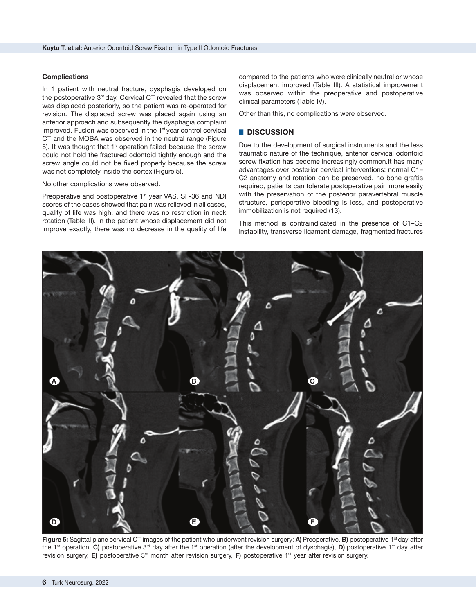#### **Complications**

In 1 patient with neutral fracture, dysphagia developed on the postoperative 3<sup>rd</sup> day. Cervical CT revealed that the screw was displaced posteriorly, so the patient was re-operated for revision. The displaced screw was placed again using an anterior approach and subsequently the dysphagia complaint improved. Fusion was observed in the 1<sup>st</sup> year control cervical CT and the MOBA was observed in the neutral range (Figure 5). It was thought that  $1<sup>st</sup>$  operation failed because the screw could not hold the fractured odontoid tightly enough and the screw angle could not be fixed properly because the screw was not completely inside the cortex (Figure 5).

#### No other complications were observed.

Preoperative and postoperative 1<sup>st</sup> year VAS, SF-36 and NDI scores of the cases showed that pain was relieved in all cases, quality of life was high, and there was no restriction in neck rotation (Table III). In the patient whose displacement did not improve exactly, there was no decrease in the quality of life compared to the patients who were clinically neutral or whose displacement improved (Table III). A statistical improvement was observed within the preoperative and postoperative clinical parameters (Table IV).

Other than this, no complications were observed.

### █ **DISCUSSION**

Due to the development of surgical instruments and the less traumatic nature of the technique, anterior cervical odontoid screw fixation has become increasingly common.It has many advantages over posterior cervical interventions: normal C1– C2 anatomy and rotation can be preserved, no bone graftis required, patients can tolerate postoperative pain more easily with the preservation of the posterior paravertebral muscle structure, perioperative bleeding is less, and postoperative immobilization is not required (13).

This method is contraindicated in the presence of C1–C2 instability, transverse ligament damage, fragmented fractures



Figure 5: Sagittal plane cervical CT images of the patient who underwent revision surgery: A) Preoperative, B) postoperative 1<sup>st</sup> day after the 1st operation, **C)** postoperative 3rd day after the 1st operation (after the development of dysphagia), **D)** postoperative 1st day after revision surgery, **E)** postoperative 3rd month after revision surgery, **F)** postoperative 1st year after revision surgery.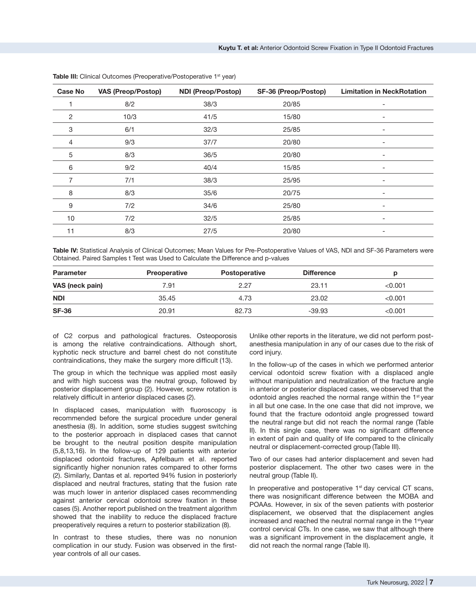| <b>Case No</b> | <b>VAS (Preop/Postop)</b> | <b>NDI (Preop/Postop)</b> | SF-36 (Preop/Postop) | <b>Limitation in NeckRotation</b> |
|----------------|---------------------------|---------------------------|----------------------|-----------------------------------|
|                | 8/2                       | 38/3                      | 20/85                | $\overline{\phantom{a}}$          |
| $\overline{2}$ | 10/3                      | 41/5                      | 15/80                | $\qquad \qquad \blacksquare$      |
| 3              | 6/1                       | 32/3                      | 25/85                | $\overline{\phantom{a}}$          |
| 4              | 9/3                       | 37/7                      | 20/80                | $\overline{\phantom{a}}$          |
| 5              | 8/3                       | 36/5                      | 20/80                |                                   |
| 6              | 9/2                       | 40/4                      | 15/85                |                                   |
| 7              | 7/1                       | 38/3                      | 25/95                | -                                 |
| 8              | 8/3                       | 35/6                      | 20/75                | -                                 |
| 9              | 7/2                       | 34/6                      | 25/80                | $\overline{\phantom{a}}$          |
| 10             | 7/2                       | 32/5                      | 25/85                | $\overline{\phantom{a}}$          |
| 11             | 8/3                       | 27/5                      | 20/80                | $\overline{\phantom{a}}$          |

**Table III:** Clinical Outcomes (Preoperative/Postoperative 1<sup>st</sup> year)

Table IV: Statistical Analysis of Clinical Outcomes; Mean Values for Pre-Postoperative Values of VAS, NDI and SF-36 Parameters were Obtained. Paired Samples t Test was Used to Calculate the Difference and p-values

| <b>Parameter</b> | <b>Preoperative</b> | <b>Postoperative</b> | <b>Difference</b> |         |
|------------------|---------------------|----------------------|-------------------|---------|
| VAS (neck pain)  | 7.91                | 2.27                 | 23.11             | < 0.001 |
| <b>NDI</b>       | 35.45               | 4.73                 | 23.02             | < 0.001 |
| <b>SF-36</b>     | 20.91               | 82.73                | $-39.93$          | < 0.001 |

of C2 corpus and pathological fractures. Osteoporosis is among the relative contraindications. Although short, kyphotic neck structure and barrel chest do not constitute contraindications, they make the surgery more difficult (13).

The group in which the technique was applied most easily and with high success was the neutral group, followed by posterior displacement group (2). However, screw rotation is relatively difficult in anterior displaced cases (2).

In displaced cases, manipulation with fluoroscopy is recommended before the surgical procedure under general anesthesia (8). In addition, some studies suggest switching to the posterior approach in displaced cases that cannot be brought to the neutral position despite manipulation (5,8,13,16). In the follow-up of 129 patients with anterior displaced odontoid fractures, Apfelbaum et al. reported significantly higher nonunion rates compared to other forms (2). Similarly, Dantas et al. reported 94% fusion in posteriorly displaced and neutral fractures, stating that the fusion rate was much lower in anterior displaced cases recommending against anterior cervical odontoid screw fixation in these cases (5). Another report published on the treatment algorithm showed that the inability to reduce the displaced fracture preoperatively requires a return to posterior stabilization (8).

In contrast to these studies, there was no nonunion complication in our study. Fusion was observed in the firstyear controls of all our cases.

Unlike other reports in the literature, we did not perform postanesthesia manipulation in any of our cases due to the risk of cord injury.

In the follow-up of the cases in which we performed anterior cervical odontoid screw fixation with a displaced angle without manipulation and neutralization of the fracture angle in anterior or posterior displaced cases, we observed that the odontoid angles reached the normal range within the 1<sup>st</sup> year in all but one case. In the one case that did not improve, we found that the fracture odontoid angle progressed toward the neutral range but did not reach the normal range (Table II). In this single case, there was no significant difference in extent of pain and quality of life compared to the clinically neutral or displacement-corrected group (Table III).

Two of our cases had anterior displacement and seven had posterior displacement. The other two cases were in the neutral group (Table II).

In preoperative and postoperative  $1<sup>st</sup>$  day cervical CT scans, there was nosignificant difference between the MOBA and POAAs. However, in six of the seven patients with posterior displacement, we observed that the displacement angles increased and reached the neutral normal range in the 1<sup>st</sup>year control cervical CTs. In one case, we saw that although there was a significant improvement in the displacement angle, it did not reach the normal range (Table II).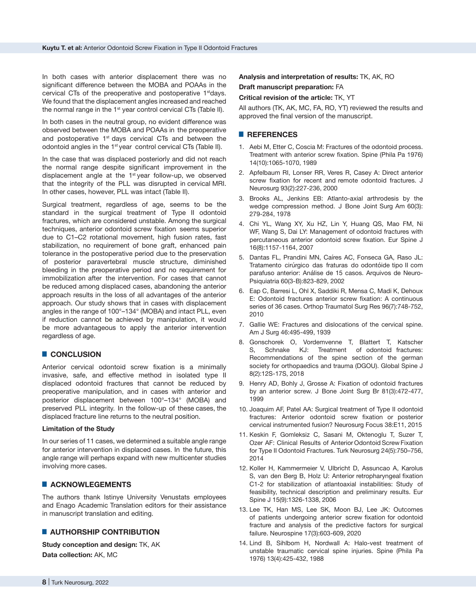In both cases with anterior displacement there was no significant difference between the MOBA and POAAs in the cervical CTs of the preoperative and postoperative 1<sup>st</sup>days. We found that the displacement angles increased and reached the normal range in the 1<sup>st</sup> year control cervical CTs (Table II).

In both cases in the neutral group, no evident difference was observed between the MOBA and POAAs in the preoperative and postoperative  $1<sup>st</sup>$  days cervical CTs and between the odontoid angles in the 1<sup>st</sup> year control cervical CTs (Table II).

In the case that was displaced posteriorly and did not reach the normal range despite significant improvement in the displacement angle at the  $1<sup>st</sup>$  year follow-up, we observed that the integrity of the PLL was disrupted in cervical MRI. In other cases, however, PLL was intact (Table II).

Surgical treatment, regardless of age, seems to be the standard in the surgical treatment of Type II odontoid fractures, which are considered unstable. Among the surgical techniques, anterior odontoid screw fixation seems superior due to C1–C2 rotational movement, high fusion rates, fast stabilization, no requirement of bone graft, enhanced pain tolerance in the postoperative period due to the preservation of posterior paravertebral muscle structure, diminished bleeding in the preoperative period and no requirement for immobilization after the intervention. For cases that cannot be reduced among displaced cases, abandoning the anterior approach results in the loss of all advantages of the anterior approach. Our study shows that in cases with displacement angles in the range of 100°–134° (MOBA) and intact PLL, even if reduction cannot be achieved by manipulation, it would be more advantageous to apply the anterior intervention regardless of age.

#### █ **CONCLUSION**

Anterior cervical odontoid screw fixation is a minimally invasive, safe, and effective method in isolated type II displaced odontoid fractures that cannot be reduced by preoperative manipulation, and in cases with anterior and posterior displacement between 100°–134° (MOBA) and preserved PLL integrity. In the follow-up of these cases, the displaced fracture line returns to the neutral position.

#### **Limitation of the Study**

In our series of 11 cases, we determined a suitable angle range for anterior intervention in displaced cases. In the future, this angle range will perhaps expand with new multicenter studies involving more cases.

#### █ **ACKNOWLEGEMENTS**

The authors thank Istinye University Venustats employees and Enago Academic Translation editors for their assistance in manuscript translation and editing.

# █ **AUTHORSHIP CONTRIBUTION**

**Study conception and design:** TK, AK **Data collection:** AK, MC

# **Analysis and interpretation of results:** TK, AK, RO

**Draft manuscript preparation:** FA

# **Critical revision of the article:** TK, YT

All authors (TK, AK, MC, FA, RO, YT) reviewed the results and approved the final version of the manuscript.

#### █ **REFERENCES**

- 1. Aebi M, Etter C, Coscia M: Fractures of the odontoid process. Treatment with anterior screw fixation. Spine (Phila Pa 1976) 14(10):1065-1070, 1989
- 2. Apfelbaum RI, Lonser RR, Veres R, Casey A: Direct anterior screw fixation for recent and remote odontoid fractures. J Neurosurg 93(2):227-236, 2000
- 3. Brooks AL, Jenkins EB: Atlanto-axial arthrodesis by the wedge compression method. J Bone Joint Surg Am 60(3): 279-284, 1978
- 4. Chi YL, Wang XY, Xu HZ, Lin Y, Huang QS, Mao FM, Ni WF, Wang S, Dai LY: Management of odontoid fractures with percutaneous anterior odontoid screw fixation. Eur Spine J 16(8):1157-1164, 2007
- 5. Dantas FL, Prandini MN, Caíres AC, Fonseca GA, Raso JL: Tratamento cirúrgico das fraturas do odontóide tipo II com parafuso anterior: Análise de 15 casos. Arquivos de Neuro-Psiquiatria 60(3-B):823-829, 2002
- 6. Eap C, Barresi L, Ohl X, Saddiki R, Mensa C, Madi K, Dehoux E: Odontoid fractures anterior screw fixation: A continuous series of 36 cases. Orthop Traumatol Surg Res 96(7):748-752, 2010
- 7. Gallie WE: Fractures and dislocations of the cervical spine. Am J Surg 46:495-499, 1939
- 8. Gonschorek O, Vordemvenne T, Blattert T, Katscher S, Schnake KJ: Treatment of odontoid fractures: Recommendations of the spine section of the german society for orthopaedics and trauma (DGOU). Global Spine J 8(2):12S-17S, 2018
- 9. Henry AD, Bohly J, Grosse A: Fixation of odontoid fractures by an anterior screw. J Bone Joint Surg Br 81(3):472-477, 1999
- 10. Joaquim AF, Patel AA: Surgical treatment of Type II odontoid fractures: Anterior odontoid screw fixation or posterior cervical instrumented fusion? Neurosurg Focus 38:E11, 2015
- 11. Keskin F, Gomleksiz C, Sasani M, Oktenoglu T, Suzer T, Ozer AF: Clinical Results of Anterior Odontoid Screw Fixation for Type II Odontoid Fractures. Turk Neurosurg 24(5):750–756, 2014
- 12. Koller H, Kammermeier V, Ulbricht D, Assuncao A, Karolus S, van den Berg B, Holz U: Anterior retropharyngeal fixation C1-2 for stabilization of atlantoaxial instabilities: Study of feasibility, technical description and preliminary results. Eur Spine J 15(9):1326-1338, 2006
- 13. Lee TK, Han MS, Lee SK, Moon BJ, Lee JK: Outcomes of patients undergoing anterior screw fixation for odontoid fracture and analysis of the predictive factors for surgical failure. Neurospine 17(3):603-609, 2020
- 14. Lind B, Sihlbom H, Nordwall A: Halo-vest treatment of unstable traumatic cervical spine injuries. Spine (Phila Pa 1976) 13(4):425-432, 1988